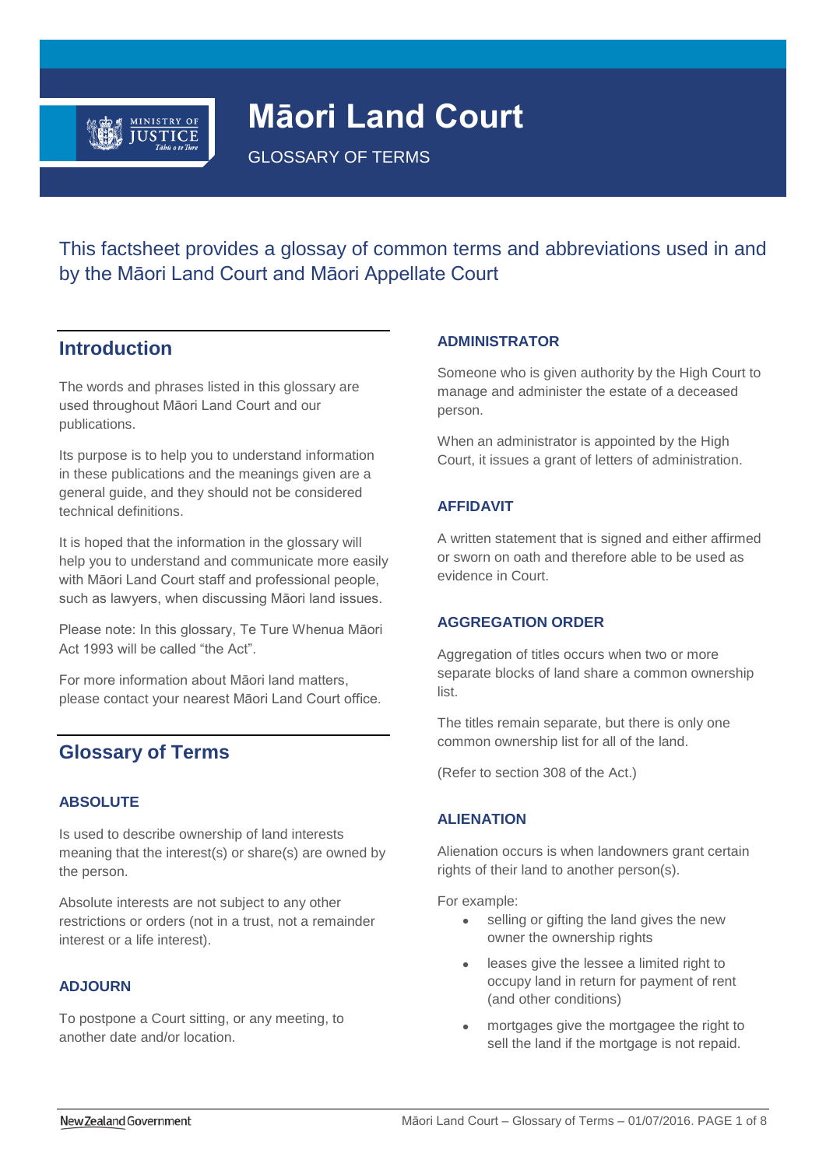

# **Māori Land Court**

GLOSSARY OF TERMS

This factsheet provides a glossay of common terms and abbreviations used in and by the Māori Land Court and Māori Appellate Court

# **Introduction**

The words and phrases listed in this glossary are used throughout Māori Land Court and our publications.

Its purpose is to help you to understand information in these publications and the meanings given are a general guide, and they should not be considered technical definitions.

It is hoped that the information in the glossary will help you to understand and communicate more easily with Māori Land Court staff and professional people, such as lawyers, when discussing Māori land issues.

Please note: In this glossary, Te Ture Whenua Māori Act 1993 will be called "the Act".

For more information about Māori land matters, please contact your nearest Māori Land Court office.

# **Glossary of Terms**

# **ABSOLUTE**

Is used to describe ownership of land interests meaning that the interest(s) or share(s) are owned by the person.

Absolute interests are not subject to any other restrictions or orders (not in a trust, not a remainder interest or a life interest).

# **ADJOURN**

To postpone a Court sitting, or any meeting, to another date and/or location.

# **ADMINISTRATOR**

Someone who is given authority by the High Court to manage and administer the estate of a deceased person.

When an administrator is appointed by the High Court, it issues a grant of letters of administration.

# **AFFIDAVIT**

A written statement that is signed and either affirmed or sworn on oath and therefore able to be used as evidence in Court.

# **AGGREGATION ORDER**

Aggregation of titles occurs when two or more separate blocks of land share a common ownership list.

The titles remain separate, but there is only one common ownership list for all of the land.

(Refer to section 308 of the Act.)

# **ALIENATION**

Alienation occurs is when landowners grant certain rights of their land to another person(s).

For example:

- selling or gifting the land gives the new owner the ownership rights
- leases give the lessee a limited right to occupy land in return for payment of rent (and other conditions)
- mortgages give the mortgagee the right to sell the land if the mortgage is not repaid.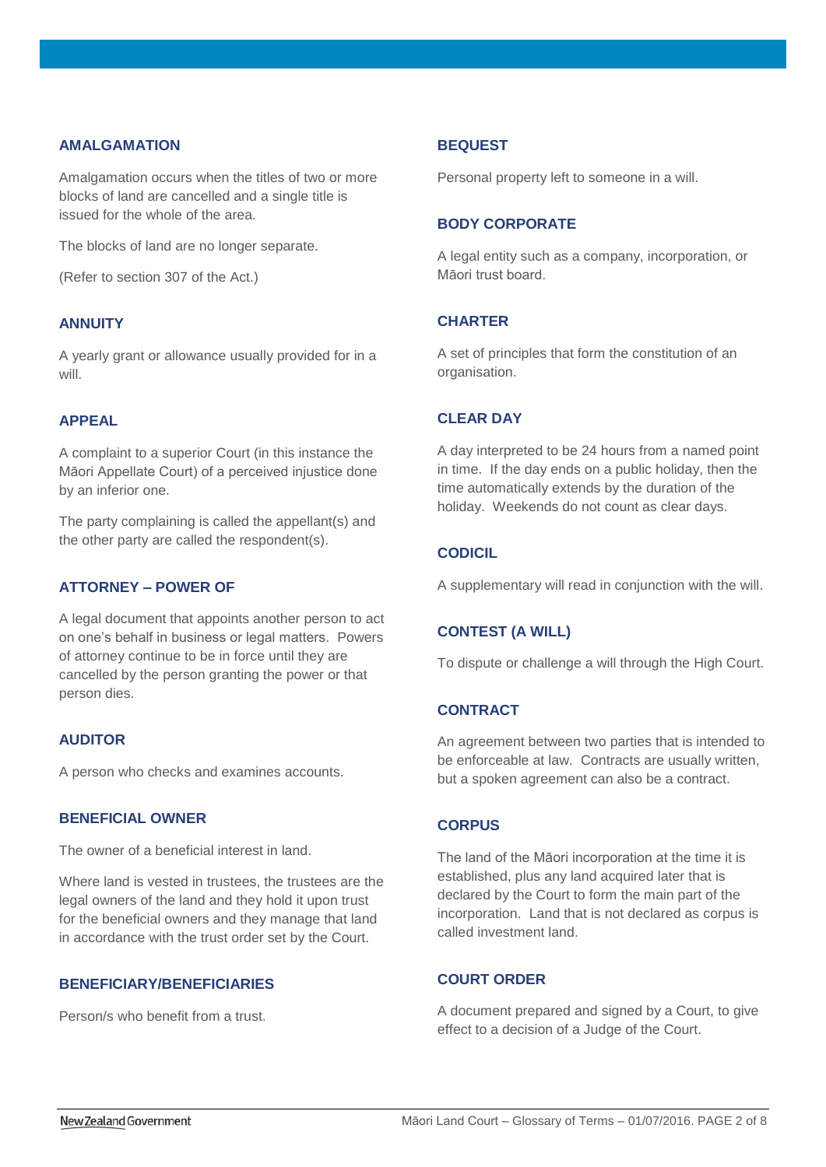### **AMALGAMATION**

Amalgamation occurs when the titles of two or more blocks of land are cancelled and a single title is issued for the whole of the area.

The blocks of land are no longer separate.

(Refer to section 307 of the Act.)

# **ANNUITY**

A yearly grant or allowance usually provided for in a will.

# **APPEAL**

A complaint to a superior Court (in this instance the Māori Appellate Court) of a perceived injustice done by an inferior one.

The party complaining is called the appellant(s) and the other party are called the respondent(s).

### **ATTORNEY – POWER OF**

A legal document that appoints another person to act on one's behalf in business or legal matters. Powers of attorney continue to be in force until they are cancelled by the person granting the power or that person dies.

### **AUDITOR**

A person who checks and examines accounts.

### **BENEFICIAL OWNER**

The owner of a beneficial interest in land.

Where land is vested in trustees, the trustees are the legal owners of the land and they hold it upon trust for the beneficial owners and they manage that land in accordance with the trust order set by the Court.

### **BENEFICIARY/BENEFICIARIES**

Person/s who benefit from a trust.

#### **BEQUEST**

Personal property left to someone in a will.

### **BODY CORPORATE**

A legal entity such as a company, incorporation, or Māori trust board.

### **CHARTER**

A set of principles that form the constitution of an organisation.

# **CLEAR DAY**

A day interpreted to be 24 hours from a named point in time. If the day ends on a public holiday, then the time automatically extends by the duration of the holiday. Weekends do not count as clear days.

# **CODICIL**

A supplementary will read in conjunction with the will.

# **CONTEST (A WILL)**

To dispute or challenge a will through the High Court.

### **CONTRACT**

An agreement between two parties that is intended to be enforceable at law. Contracts are usually written, but a spoken agreement can also be a contract.

### **CORPUS**

The land of the Māori incorporation at the time it is established, plus any land acquired later that is declared by the Court to form the main part of the incorporation. Land that is not declared as corpus is called investment land.

# **COURT ORDER**

A document prepared and signed by a Court, to give effect to a decision of a Judge of the Court.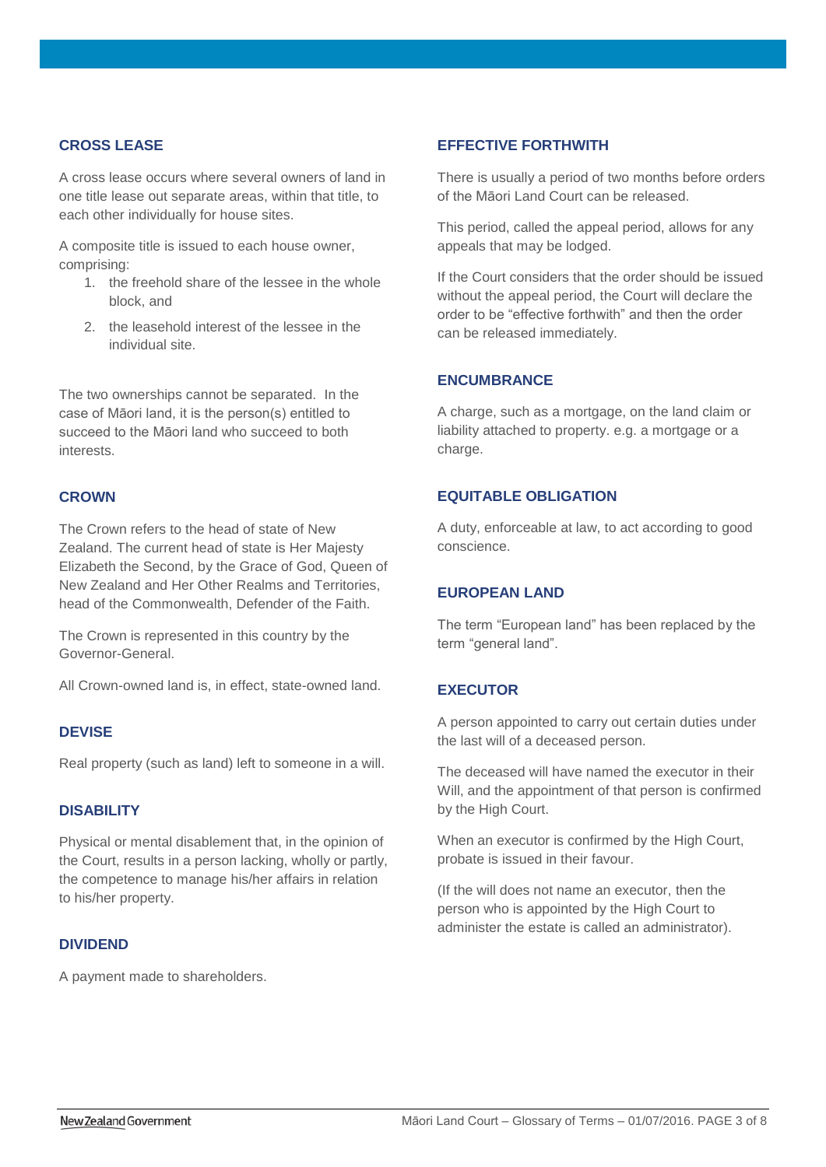# **CROSS LEASE**

A cross lease occurs where several owners of land in one title lease out separate areas, within that title, to each other individually for house sites.

A composite title is issued to each house owner, comprising:

- 1. the freehold share of the lessee in the whole block, and
- 2. the leasehold interest of the lessee in the individual site.

The two ownerships cannot be separated. In the case of Māori land, it is the person(s) entitled to succeed to the Māori land who succeed to both interests.

### **CROWN**

The Crown refers to the head of state of New Zealand. The current head of state is Her Majesty Elizabeth the Second, by the Grace of God, Queen of New Zealand and Her Other Realms and Territories, head of the Commonwealth, Defender of the Faith.

The Crown is represented in this country by the Governor-General.

All Crown-owned land is, in effect, state-owned land.

### **DEVISE**

Real property (such as land) left to someone in a will.

# **DISABILITY**

Physical or mental disablement that, in the opinion of the Court, results in a person lacking, wholly or partly, the competence to manage his/her affairs in relation to his/her property.

### **DIVIDEND**

A payment made to shareholders.

### **EFFECTIVE FORTHWITH**

There is usually a period of two months before orders of the Māori Land Court can be released.

This period, called the appeal period, allows for any appeals that may be lodged.

If the Court considers that the order should be issued without the appeal period, the Court will declare the order to be "effective forthwith" and then the order can be released immediately.

### **ENCUMBRANCE**

A charge, such as a mortgage, on the land claim or liability attached to property. e.g. a mortgage or a charge.

### **EQUITABLE OBLIGATION**

A duty, enforceable at law, to act according to good conscience.

### **EUROPEAN LAND**

The term "European land" has been replaced by the term "general land".

# **EXECUTOR**

A person appointed to carry out certain duties under the last will of a deceased person.

The deceased will have named the executor in their Will, and the appointment of that person is confirmed by the High Court.

When an executor is confirmed by the High Court, probate is issued in their favour.

(If the will does not name an executor, then the person who is appointed by the High Court to administer the estate is called an administrator).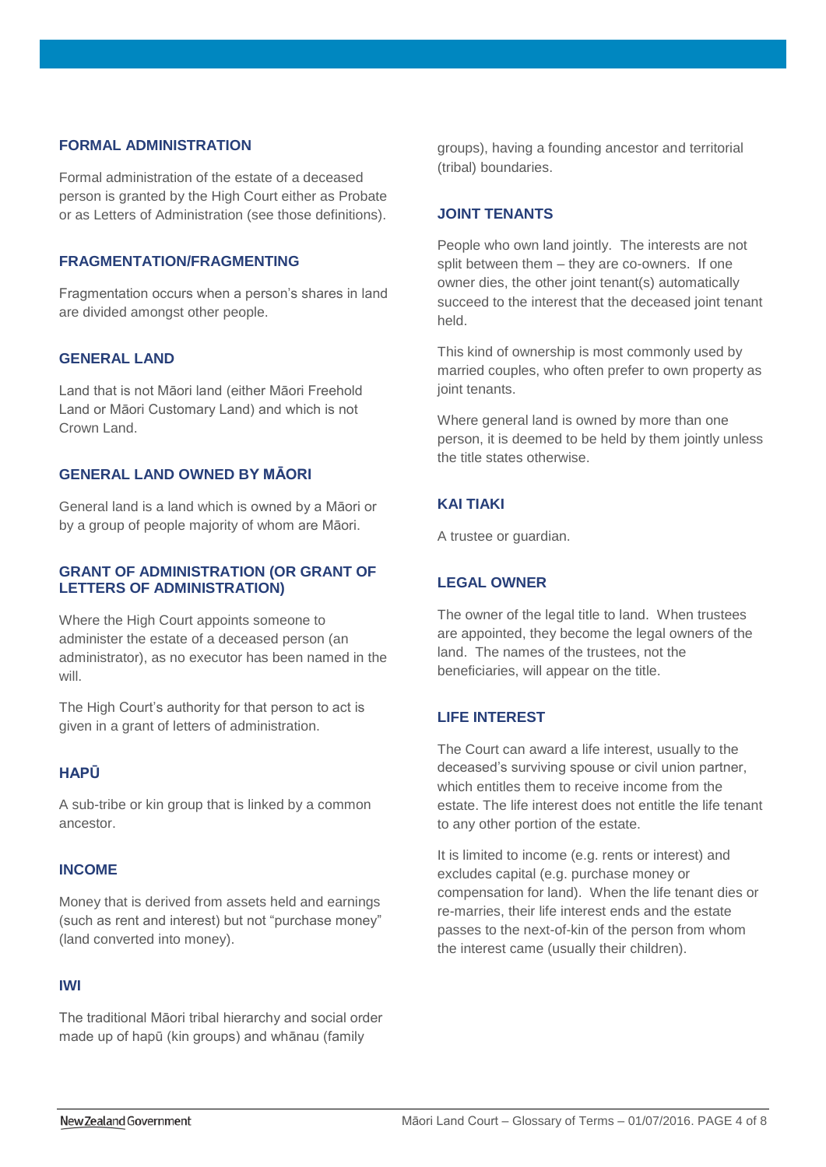# **FORMAL ADMINISTRATION**

Formal administration of the estate of a deceased person is granted by the High Court either as Probate or as Letters of Administration (see those definitions).

### **FRAGMENTATION/FRAGMENTING**

Fragmentation occurs when a person's shares in land are divided amongst other people.

### **GENERAL LAND**

Land that is not Māori land (either Māori Freehold Land or Māori Customary Land) and which is not Crown Land.

### **GENERAL LAND OWNED BY MĀORI**

General land is a land which is owned by a Māori or by a group of people majority of whom are Māori.

### **GRANT OF ADMINISTRATION (OR GRANT OF LETTERS OF ADMINISTRATION)**

Where the High Court appoints someone to administer the estate of a deceased person (an administrator), as no executor has been named in the will.

The High Court's authority for that person to act is given in a grant of letters of administration.

# **HAPŪ**

A sub-tribe or kin group that is linked by a common ancestor.

# **INCOME**

Money that is derived from assets held and earnings (such as rent and interest) but not "purchase money" (land converted into money).

### **IWI**

The traditional Māori tribal hierarchy and social order made up of hapū (kin groups) and whānau (family

groups), having a founding ancestor and territorial (tribal) boundaries.

### **JOINT TENANTS**

People who own land jointly. The interests are not split between them – they are co-owners. If one owner dies, the other joint tenant(s) automatically succeed to the interest that the deceased joint tenant held.

This kind of ownership is most commonly used by married couples, who often prefer to own property as joint tenants.

Where general land is owned by more than one person, it is deemed to be held by them jointly unless the title states otherwise.

### **KAI TIAKI**

A trustee or guardian.

### **LEGAL OWNER**

The owner of the legal title to land. When trustees are appointed, they become the legal owners of the land. The names of the trustees, not the beneficiaries, will appear on the title.

# **LIFE INTEREST**

The Court can award a life interest, usually to the deceased's surviving spouse or civil union partner, which entitles them to receive income from the estate. The life interest does not entitle the life tenant to any other portion of the estate.

It is limited to income (e.g. rents or interest) and excludes capital (e.g. purchase money or compensation for land). When the life tenant dies or re-marries, their life interest ends and the estate passes to the next-of-kin of the person from whom the interest came (usually their children).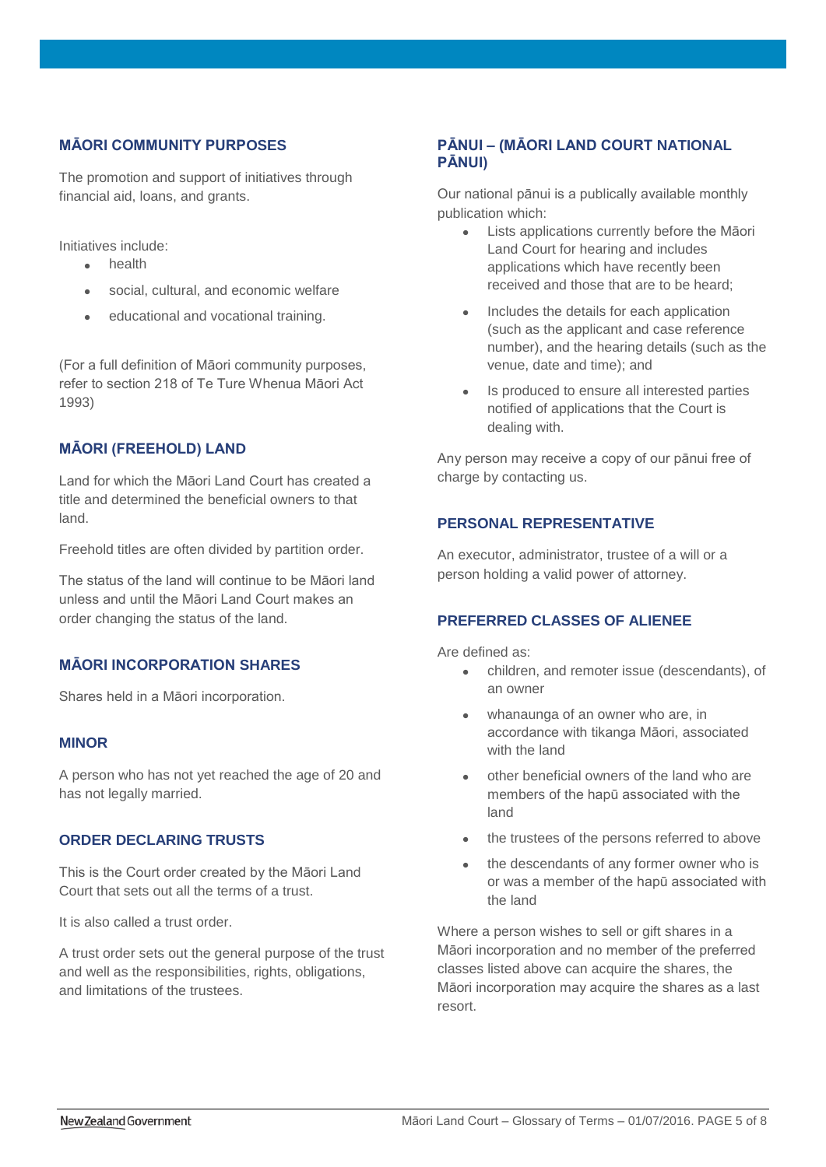# **MĀORI COMMUNITY PURPOSES**

The promotion and support of initiatives through financial aid, loans, and grants.

Initiatives include:

- health
- social, cultural, and economic welfare
- educational and vocational training.

(For a full definition of Māori community purposes, refer to section 218 of Te Ture Whenua Māori Act 1993)

# **MĀORI (FREEHOLD) LAND**

Land for which the Māori Land Court has created a title and determined the beneficial owners to that land.

Freehold titles are often divided by partition order.

The status of the land will continue to be Māori land unless and until the Māori Land Court makes an order changing the status of the land.

# **MĀORI INCORPORATION SHARES**

Shares held in a Māori incorporation.

### **MINOR**

A person who has not yet reached the age of 20 and has not legally married.

# **ORDER DECLARING TRUSTS**

This is the Court order created by the Māori Land Court that sets out all the terms of a trust.

It is also called a trust order.

A trust order sets out the general purpose of the trust and well as the responsibilities, rights, obligations, and limitations of the trustees.

# **PĀNUI – (MĀORI LAND COURT NATIONAL PĀNUI)**

Our national pānui is a publically available monthly publication which:

- Lists applications currently before the Māori Land Court for hearing and includes applications which have recently been received and those that are to be heard;
- Includes the details for each application (such as the applicant and case reference number), and the hearing details (such as the venue, date and time); and
- Is produced to ensure all interested parties notified of applications that the Court is dealing with.

Any person may receive a copy of our pānui free of charge by contacting us.

# **PERSONAL REPRESENTATIVE**

An executor, administrator, trustee of a will or a person holding a valid power of attorney.

# **PREFERRED CLASSES OF ALIENEE**

Are defined as:

- children, and remoter issue (descendants), of an owner
- whanaunga of an owner who are, in accordance with tikanga Māori, associated with the land
- other beneficial owners of the land who are members of the hapū associated with the land
- the trustees of the persons referred to above
- the descendants of any former owner who is or was a member of the hapū associated with the land

Where a person wishes to sell or gift shares in a Māori incorporation and no member of the preferred classes listed above can acquire the shares, the Māori incorporation may acquire the shares as a last resort.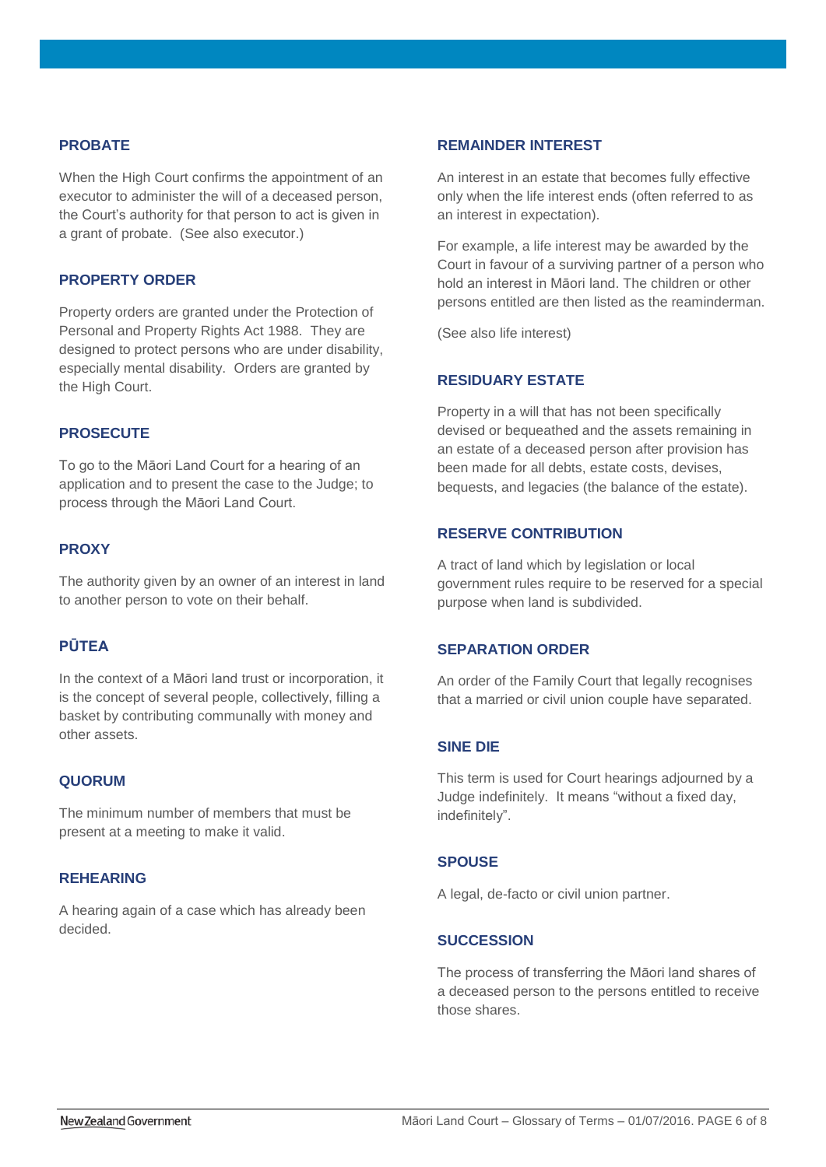### **PROBATE**

When the High Court confirms the appointment of an executor to administer the will of a deceased person, the Court's authority for that person to act is given in a grant of probate. (See also executor.)

### **PROPERTY ORDER**

Property orders are granted under the Protection of Personal and Property Rights Act 1988. They are designed to protect persons who are under disability, especially mental disability. Orders are granted by the High Court.

# **PROSECUTE**

To go to the Māori Land Court for a hearing of an application and to present the case to the Judge; to process through the Māori Land Court.

### **PROXY**

The authority given by an owner of an interest in land to another person to vote on their behalf.

# **PŪTEA**

In the context of a Māori land trust or incorporation, it is the concept of several people, collectively, filling a basket by contributing communally with money and other assets.

### **QUORUM**

The minimum number of members that must be present at a meeting to make it valid.

### **REHEARING**

A hearing again of a case which has already been decided.

# **REMAINDER INTEREST**

An interest in an estate that becomes fully effective only when the life interest ends (often referred to as an interest in expectation).

For example, a life interest may be awarded by the Court in favour of a surviving partner of a person who hold an interest in Māori land. The children or other persons entitled are then listed as the reaminderman.

(See also life interest)

### **RESIDUARY ESTATE**

Property in a will that has not been specifically devised or bequeathed and the assets remaining in an estate of a deceased person after provision has been made for all debts, estate costs, devises, bequests, and legacies (the balance of the estate).

### **RESERVE CONTRIBUTION**

A tract of land which by legislation or local government rules require to be reserved for a special purpose when land is subdivided.

### **SEPARATION ORDER**

An order of the Family Court that legally recognises that a married or civil union couple have separated.

### **SINE DIE**

This term is used for Court hearings adjourned by a Judge indefinitely. It means "without a fixed day, indefinitely".

#### **SPOUSE**

A legal, de-facto or civil union partner.

### **SUCCESSION**

The process of transferring the Māori land shares of a deceased person to the persons entitled to receive those shares.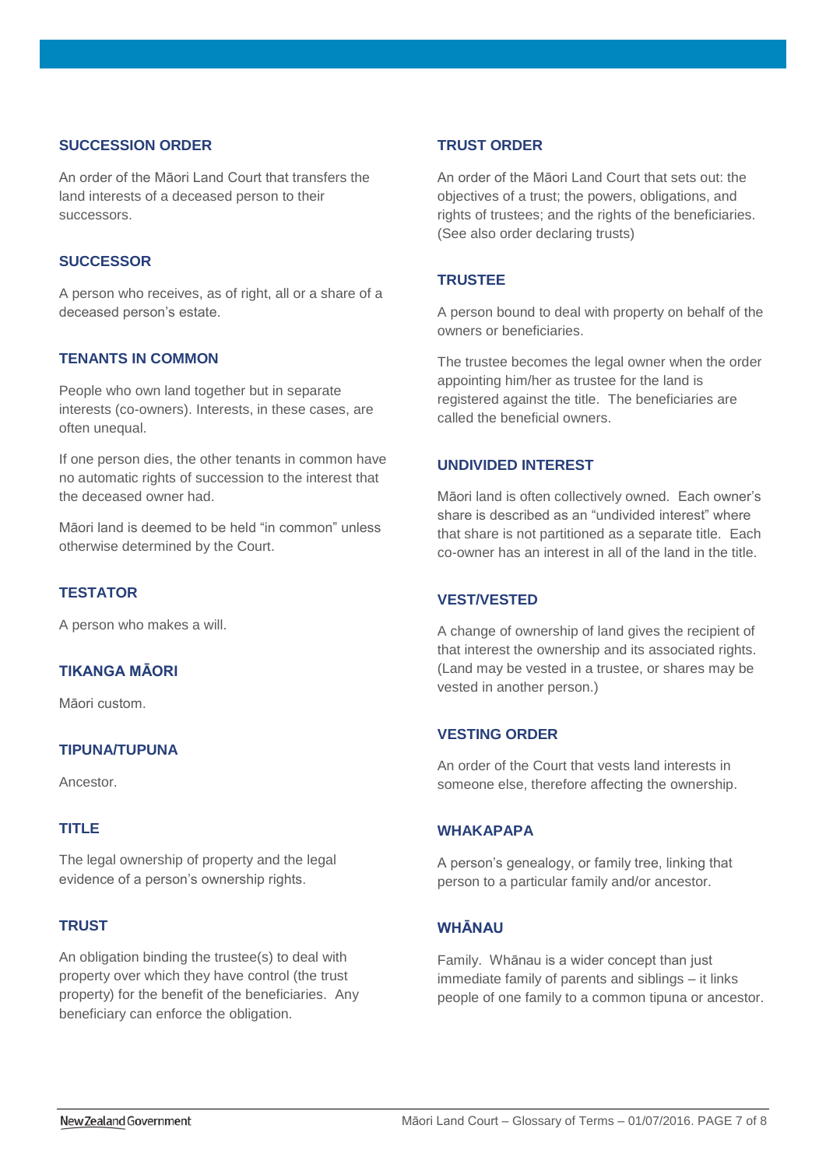# **SUCCESSION ORDER**

An order of the Māori Land Court that transfers the land interests of a deceased person to their successors.

### **SUCCESSOR**

A person who receives, as of right, all or a share of a deceased person's estate.

### **TENANTS IN COMMON**

People who own land together but in separate interests (co-owners). Interests, in these cases, are often unequal.

If one person dies, the other tenants in common have no automatic rights of succession to the interest that the deceased owner had.

Māori land is deemed to be held "in common" unless otherwise determined by the Court.

### **TESTATOR**

A person who makes a will.

# **TIKANGA MĀORI**

Māori custom.

### **TIPUNA/TUPUNA**

Ancestor.

### **TITLE**

The legal ownership of property and the legal evidence of a person's ownership rights.

### **TRUST**

An obligation binding the trustee(s) to deal with property over which they have control (the trust property) for the benefit of the beneficiaries. Any beneficiary can enforce the obligation.

### **TRUST ORDER**

An order of the Māori Land Court that sets out: the objectives of a trust; the powers, obligations, and rights of trustees; and the rights of the beneficiaries. (See also order declaring trusts)

### **TRUSTEE**

A person bound to deal with property on behalf of the owners or beneficiaries.

The trustee becomes the legal owner when the order appointing him/her as trustee for the land is registered against the title. The beneficiaries are called the beneficial owners.

### **UNDIVIDED INTEREST**

Māori land is often collectively owned. Each owner's share is described as an "undivided interest" where that share is not partitioned as a separate title. Each co-owner has an interest in all of the land in the title.

### **VEST/VESTED**

A change of ownership of land gives the recipient of that interest the ownership and its associated rights. (Land may be vested in a trustee, or shares may be vested in another person.)

### **VESTING ORDER**

An order of the Court that vests land interests in someone else, therefore affecting the ownership.

### **WHAKAPAPA**

A person's genealogy, or family tree, linking that person to a particular family and/or ancestor.

# **WHĀNAU**

Family. Whānau is a wider concept than just immediate family of parents and siblings – it links people of one family to a common tipuna or ancestor.